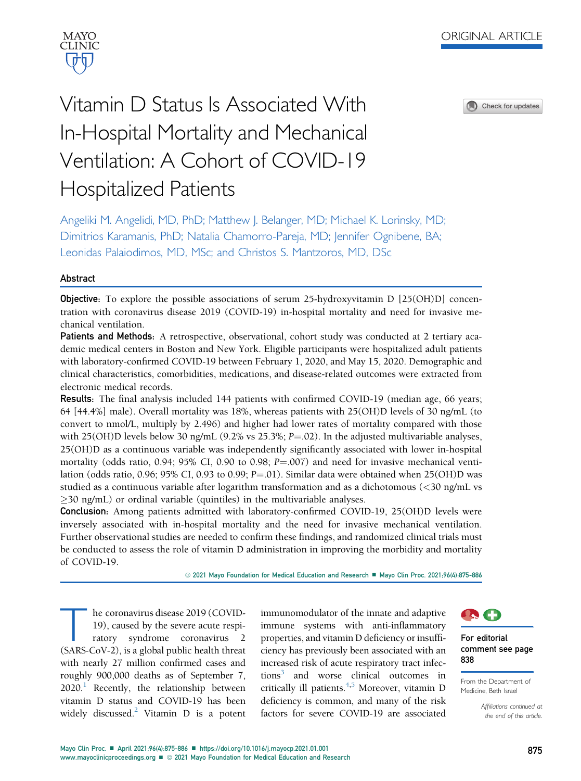Check for updates

# Vitamin D Status Is Associated With In-Hospital Mortality and Mechanical Ventilation: A Cohort of COVID-19 Hospitalized Patients

Angeliki M. Angelidi, MD, PhD; Matthew J. Belanger, MD; Michael K. Lorinsky, MD; Dimitrios Karamanis, PhD; Natalia Chamorro-Pareja, MD; Jennifer Ognibene, BA; Leonidas Palaiodimos, MD, MSc; and Christos S. Mantzoros, MD, DSc

## Abstract

Objective: To explore the possible associations of serum 25-hydroxyvitamin D [25(OH)D] concentration with coronavirus disease 2019 (COVID-19) in-hospital mortality and need for invasive mechanical ventilation.

Patients and Methods: A retrospective, observational, cohort study was conducted at 2 tertiary academic medical centers in Boston and New York. Eligible participants were hospitalized adult patients with laboratory-confirmed COVID-19 between February 1, 2020, and May 15, 2020. Demographic and clinical characteristics, comorbidities, medications, and disease-related outcomes were extracted from electronic medical records.

Results: The final analysis included 144 patients with confirmed COVID-19 (median age, 66 years; 64 [44.4%] male). Overall mortality was 18%, whereas patients with 25(OH)D levels of 30 ng/mL (to convert to nmol/L, multiply by 2.496) and higher had lower rates of mortality compared with those with 25(OH)D levels below 30 ng/mL  $(9.2\% \text{ vs } 25.3\%; P = .02)$ . In the adjusted multivariable analyses, 25(OH)D as a continuous variable was independently significantly associated with lower in-hospital mortality (odds ratio, 0.94; 95% CI, 0.90 to 0.98;  $P = 0.007$ ) and need for invasive mechanical ventilation (odds ratio, 0.96; 95% CI, 0.93 to 0.99;  $P = 0.01$ ). Similar data were obtained when 25(OH)D was studied as a continuous variable after logarithm transformation and as a dichotomous (<30 ng/mL vs  $\geq$ 30 ng/mL) or ordinal variable (quintiles) in the multivariable analyses.

Conclusion: Among patients admitted with laboratory-confirmed COVID-19, 25(OH)D levels were inversely associated with in-hospital mortality and the need for invasive mechanical ventilation. Further observational studies are needed to confirm these findings, and randomized clinical trials must be conducted to assess the role of vitamin D administration in improving the morbidity and mortality of COVID-19.

© 2021 Mayo Foundation for Medical Education and Research ■ Mayo Clin Proc. 2021;96(4):875-886

The coronavirus disease 2019 (COVID-<br>19), caused by the severe acute respiratory syndrome coronavirus 2<br>(SARS-CoV-2) is a global public health threat 19), caused by the severe acute respiratory syndrome coronavirus 2 (SARS-CoV-2), is a global public health threat with nearly 27 million confirmed cases and roughly 900,000 deaths as of September 7,  $2020<sup>1</sup>$  Recently, the relationship between vitamin D status and COVID-19 has been widely discussed.<sup>2</sup> Vitamin D is a potent immunomodulator of the innate and adaptive immune systems with anti-inflammatory properties, and vitamin D deficiency or insufficiency has previously been associated with an increased risk of acute respiratory tract infections<sup>3</sup> and worse clinical outcomes in critically ill patients. $4,5$  $4,5$  Moreover, vitamin D deficiency is common, and many of the risk factors for severe COVID-19 are associated



#### For editorial comment see page 838

From the Department of Medicine, Beth Israel

> Affiliations continued at the end of this article.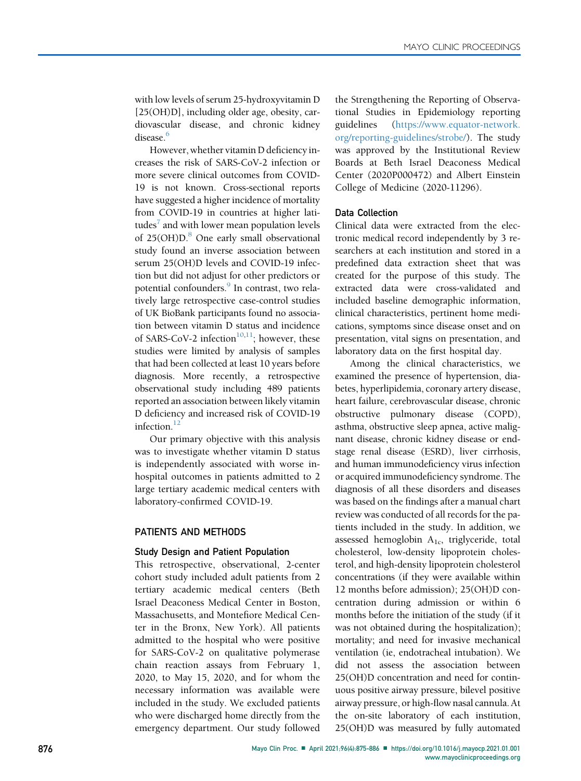with low levels of serum 25-hydroxyvitamin D [25(OH)D], including older age, obesity, cardiovascular disease, and chronic kidney disease.<sup>6</sup>

However, whether vitamin D deficiency increases the risk of SARS-CoV-2 infection or more severe clinical outcomes from COVID-19 is not known. Cross-sectional reports have suggested a higher incidence of mortality from COVID-19 in countries at higher latitudes $\bar{a}$  and with lower mean population levels of  $25(OH)D$ .<sup>[8](#page-11-3)</sup> One early small observational study found an inverse association between serum 25(OH)D levels and COVID-19 infection but did not adjust for other predictors or potential confounders.<sup>[9](#page-11-4)</sup> In contrast, two relatively large retrospective case-control studies of UK BioBank participants found no association between vitamin D status and incidence of SARS-CoV-2 infection<sup>10,11</sup>; however, these studies were limited by analysis of samples that had been collected at least 10 years before diagnosis. More recently, a retrospective observational study including 489 patients reported an association between likely vitamin D deficiency and increased risk of COVID-19 infection.<sup>[12](#page-11-7)</sup>

Our primary objective with this analysis was to investigate whether vitamin D status is independently associated with worse inhospital outcomes in patients admitted to 2 large tertiary academic medical centers with laboratory-confirmed COVID-19.

## PATIENTS AND METHODS

#### Study Design and Patient Population

This retrospective, observational, 2-center cohort study included adult patients from 2 tertiary academic medical centers (Beth Israel Deaconess Medical Center in Boston, Massachusetts, and Montefiore Medical Center in the Bronx, New York). All patients admitted to the hospital who were positive for SARS-CoV-2 on qualitative polymerase chain reaction assays from February 1, 2020, to May 15, 2020, and for whom the necessary information was available were included in the study. We excluded patients who were discharged home directly from the emergency department. Our study followed

the Strengthening the Reporting of Observational Studies in Epidemiology reporting guidelines [\(https://www.equator-network.](https://www.equator-network.org/reporting-guidelines/strobe/) [org/reporting-guidelines/strobe/](https://www.equator-network.org/reporting-guidelines/strobe/)). The study was approved by the Institutional Review Boards at Beth Israel Deaconess Medical Center (2020P000472) and Albert Einstein College of Medicine (2020-11296).

#### Data Collection

Clinical data were extracted from the electronic medical record independently by 3 researchers at each institution and stored in a predefined data extraction sheet that was created for the purpose of this study. The extracted data were cross-validated and included baseline demographic information, clinical characteristics, pertinent home medications, symptoms since disease onset and on presentation, vital signs on presentation, and laboratory data on the first hospital day.

Among the clinical characteristics, we examined the presence of hypertension, diabetes, hyperlipidemia, coronary artery disease, heart failure, cerebrovascular disease, chronic obstructive pulmonary disease (COPD), asthma, obstructive sleep apnea, active malignant disease, chronic kidney disease or endstage renal disease (ESRD), liver cirrhosis, and human immunodeficiency virus infection or acquired immunodeficiency syndrome. The diagnosis of all these disorders and diseases was based on the findings after a manual chart review was conducted of all records for the patients included in the study. In addition, we assessed hemoglobin  $A_{1c}$ , triglyceride, total cholesterol, low-density lipoprotein cholesterol, and high-density lipoprotein cholesterol concentrations (if they were available within 12 months before admission); 25(OH)D concentration during admission or within 6 months before the initiation of the study (if it was not obtained during the hospitalization); mortality; and need for invasive mechanical ventilation (ie, endotracheal intubation). We did not assess the association between 25(OH)D concentration and need for continuous positive airway pressure, bilevel positive airway pressure, or high-flow nasal cannula. At the on-site laboratory of each institution, 25(OH)D was measured by fully automated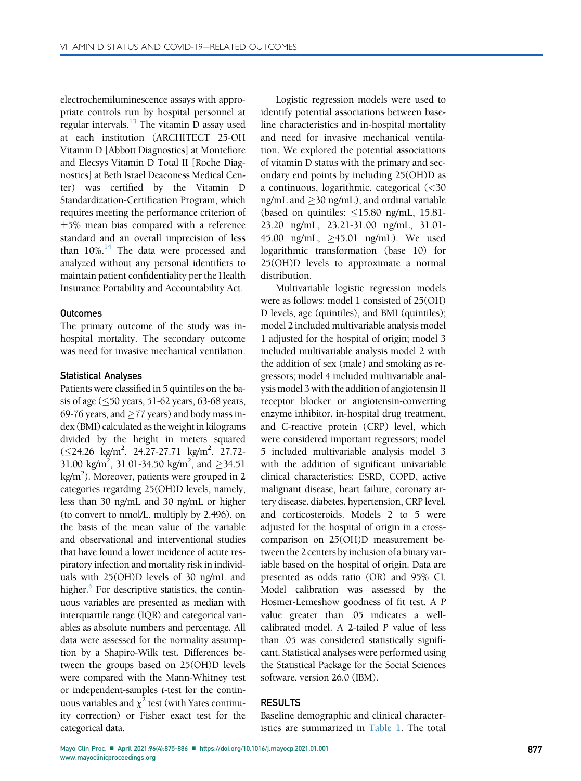electrochemiluminescence assays with appropriate controls run by hospital personnel at regular intervals. $^{13}$  The vitamin D assay used at each institution (ARCHITECT 25-OH Vitamin D [Abbott Diagnostics] at Montefiore and Elecsys Vitamin D Total II [Roche Diagnostics] at Beth Israel Deaconess Medical Center) was certified by the Vitamin D Standardization-Certification Program, which requires meeting the performance criterion of  $\pm$ 5% mean bias compared with a reference standard and an overall imprecision of less than  $10\%$ .<sup>14</sup> The data were processed and analyzed without any personal identifiers to maintain patient confidentiality per the Health Insurance Portability and Accountability Act.

## **Outcomes**

The primary outcome of the study was inhospital mortality. The secondary outcome was need for invasive mechanical ventilation.

#### Statistical Analyses

Patients were classified in 5 quintiles on the basis of age  $( \leq 50$  years, 51-62 years, 63-68 years, 69-76 years, and  $\geq$ 77 years) and body mass index (BMI) calculated as the weight in kilograms divided by the height in meters squared  $(\leq$ 24.26 kg/m<sup>2</sup>, 24.27-27.71 kg/m<sup>2</sup>, 27.72-31.00 kg/m<sup>2</sup>, 31.01-34.50 kg/m<sup>2</sup>, and  $\geq$ 34.51 kg/m<sup>2</sup>). Moreover, patients were grouped in 2 categories regarding 25(OH)D levels, namely, less than 30 ng/mL and 30 ng/mL or higher (to convert to nmol/L, multiply by 2.496), on the basis of the mean value of the variable and observational and interventional studies that have found a lower incidence of acute respiratory infection and mortality risk in individuals with 25(OH)D levels of 30 ng/mL and higher. $6$  For descriptive statistics, the continuous variables are presented as median with interquartile range (IQR) and categorical variables as absolute numbers and percentage. All data were assessed for the normality assumption by a Shapiro-Wilk test. Differences between the groups based on 25(OH)D levels were compared with the Mann-Whitney test or independent-samples t-test for the continuous variables and  $\chi^2$  test (with Yates continuity correction) or Fisher exact test for the categorical data.

Logistic regression models were used to identify potential associations between baseline characteristics and in-hospital mortality and need for invasive mechanical ventilation. We explored the potential associations of vitamin D status with the primary and secondary end points by including 25(OH)D as a continuous, logarithmic, categorical (<30 ng/mL and  $\geq$ 30 ng/mL), and ordinal variable (based on quintiles:  $\leq$ 15.80 ng/mL, 15.81-23.20 ng/mL, 23.21-31.00 ng/mL, 31.01- 45.00 ng/mL, ≥45.01 ng/mL). We used logarithmic transformation (base 10) for 25(OH)D levels to approximate a normal distribution.

Multivariable logistic regression models were as follows: model 1 consisted of 25(OH) D levels, age (quintiles), and BMI (quintiles); model 2 included multivariable analysis model 1 adjusted for the hospital of origin; model 3 included multivariable analysis model 2 with the addition of sex (male) and smoking as regressors; model 4 included multivariable analysis model 3 with the addition of angiotensin II receptor blocker or angiotensin-converting enzyme inhibitor, in-hospital drug treatment, and C-reactive protein (CRP) level, which were considered important regressors; model 5 included multivariable analysis model 3 with the addition of significant univariable clinical characteristics: ESRD, COPD, active malignant disease, heart failure, coronary artery disease, diabetes, hypertension, CRP level, and corticosteroids. Models 2 to 5 were adjusted for the hospital of origin in a crosscomparison on 25(OH)D measurement between the 2 centers by inclusion of a binary variable based on the hospital of origin. Data are presented as odds ratio (OR) and 95% CI. Model calibration was assessed by the Hosmer-Lemeshow goodness of fit test. A P value greater than .05 indicates a wellcalibrated model. A 2-tailed P value of less than .05 was considered statistically significant. Statistical analyses were performed using the Statistical Package for the Social Sciences software, version 26.0 (IBM).

## RESULTS

Baseline demographic and clinical characteristics are summarized in [Table 1.](#page-3-0) The total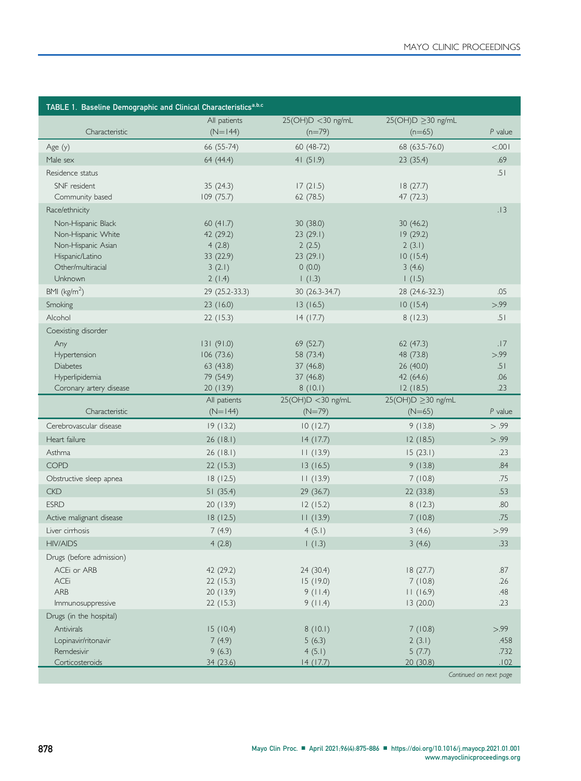<span id="page-3-0"></span>

| TABLE 1. Baseline Demographic and Clinical Characteristics <sup>a,b,c</sup> |                |                    |                        |                        |  |
|-----------------------------------------------------------------------------|----------------|--------------------|------------------------|------------------------|--|
|                                                                             | All patients   | 25(OH)D <30 ng/mL  | 25(OH)D ≥30 ng/mL      |                        |  |
| Characteristic                                                              | $(N=144)$      | $(n=79)$           | $(n=65)$               | P value                |  |
| Age $(y)$                                                                   | 66 (55-74)     | 60 (48-72)         | 68 (63.5-76.0)         | < 0.001                |  |
| Male sex                                                                    | 64 (44.4)      | 41(51.9)           | 23 (35.4)              | .69                    |  |
| Residence status                                                            |                |                    |                        | .51                    |  |
| SNF resident                                                                | 35(24.3)       | 17(21.5)           | 18(27.7)               |                        |  |
| Community based                                                             | 109(75.7)      | 62(78.5)           | 47 (72.3)              |                        |  |
| Race/ethnicity                                                              |                |                    |                        | .13                    |  |
| Non-Hispanic Black                                                          | 60 $(41.7)$    | 30 (38.0)          | 30 (46.2)              |                        |  |
| Non-Hispanic White                                                          | 42 (29.2)      | 23(29.1)           | 19(29.2)               |                        |  |
| Non-Hispanic Asian                                                          | 4(2.8)         | 2(2.5)             | 2(3.1)                 |                        |  |
| Hispanic/Latino                                                             | 33 (22.9)      | 23(29.1)           | 10(15.4)               |                        |  |
| Other/multiracial                                                           | 3(2.1)         | 0(0.0)             | 3(4.6)                 |                        |  |
| Unknown                                                                     | 2(1.4)         | 1(1.3)             | 1(1.5)                 |                        |  |
| BMI ( $\text{kg/m}^2$ )                                                     | 29 (25.2-33.3) | 30 (26.3-34.7)     | 28 (24.6-32.3)         | .05                    |  |
| Smoking                                                                     | 23 (16.0)      | 13(16.5)           | 10(15.4)               | > 0.99                 |  |
| Alcohol                                                                     | 22(15.3)       | 14(17.7)           | 8(12.3)                | .51                    |  |
| Coexisting disorder                                                         |                |                    |                        |                        |  |
| Any                                                                         | 131(91.0)      | 69 (52.7)          | 62(47.3)               | .17                    |  |
| Hypertension                                                                | 106(73.6)      | 58 (73.4)          | 48 (73.8)              | > 99                   |  |
| <b>Diabetes</b>                                                             | 63(43.8)       | 37(46.8)           | 26 (40.0)              | .51                    |  |
| Hyperlipidemia                                                              | 79 (54.9)      | 37 (46.8)          | 42 (64.6)              | .06                    |  |
| Coronary artery disease                                                     | 20 (13.9)      | 8(10.1)            | 12(18.5)               | .23                    |  |
|                                                                             | All patients   | 25(OH)D < 30 ng/mL | $25(OH)D \ge 30$ ng/mL |                        |  |
| Characteristic                                                              | $(N=144)$      | $(N=79)$           | $(N=65)$               | P value                |  |
| Cerebrovascular disease                                                     | 19(13.2)       | 10(12.7)           | 9(13.8)                | > .99                  |  |
| Heart failure                                                               | 26(18.1)       | 14(17.7)           | 12(18.5)               | > .99                  |  |
| Asthma                                                                      | 26(18.1)       | 11(13.9)           | 15(23.1)               | .23                    |  |
| <b>COPD</b>                                                                 | 22(15.3)       | 13(16.5)           | 9(13.8)                | .84                    |  |
| Obstructive sleep apnea                                                     | 18(12.5)       | 11(13.9)           | 7(10.8)                | .75                    |  |
| <b>CKD</b>                                                                  | 51(35.4)       | 29 (36.7)          | 22 (33.8)              | .53                    |  |
| <b>ESRD</b>                                                                 | 20 (13.9)      | 12(15.2)           | 8(12.3)                | .80                    |  |
| Active malignant disease                                                    | 18(12.5)       | 11(13.9)           | 7(10.8)                | .75                    |  |
| Liver cirrhosis                                                             | 7(4.9)         | 4(5.1)             | 3(4.6)                 | > .99                  |  |
| <b>HIV/AIDS</b>                                                             | 4(2.8)         | 1(1.3)             | 3(4.6)                 | .33                    |  |
| Drugs (before admission)                                                    |                |                    |                        |                        |  |
| ACEi or ARB                                                                 | 42 (29.2)      | 24 (30.4)          | 18(27.7)               | .87                    |  |
| <b>ACEi</b>                                                                 | 22(15.3)       | 15 (19.0)          | 7(10.8)                | .26                    |  |
| ARB                                                                         | 20(13.9)       | 9(11.4)            | 11(16.9)               | .48                    |  |
| Immunosuppressive                                                           | 22(15.3)       | 9(11.4)            | 13(20.0)               | .23                    |  |
| Drugs (in the hospital)                                                     |                |                    |                        |                        |  |
| Antivirals                                                                  | 15(10.4)       | 8(10.1)            | 7(10.8)                | > .99                  |  |
| Lopinavir/ritonavir                                                         | 7(4.9)         | 5(6.3)             | 2(3.1)                 | .458                   |  |
| Remdesivir                                                                  | 9(6.3)         | 4(5.1)             | 5(7.7)                 | .732                   |  |
| Corticosteroids                                                             | 34 (23.6)      | 14(17.7)           | 20 (30.8)              | .102                   |  |
|                                                                             |                |                    |                        | Continued on next page |  |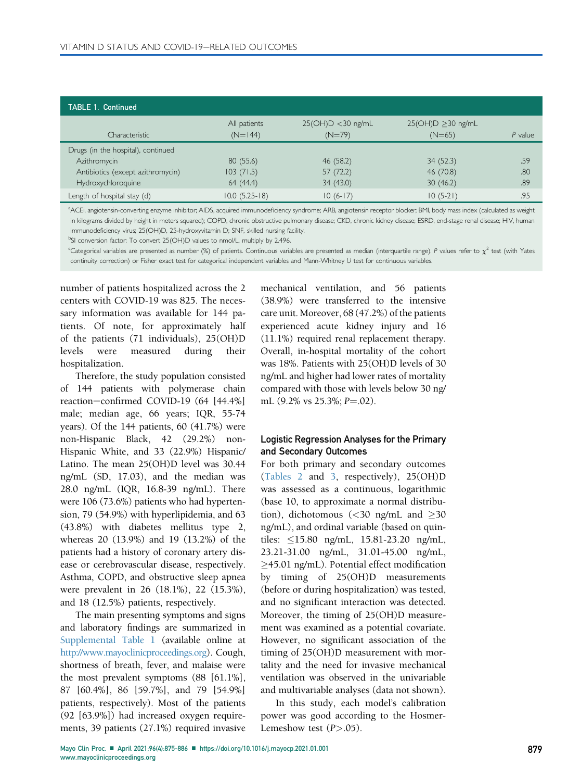| <b>TABLE 1. Continued</b>          |                           |                                  |                                     |           |
|------------------------------------|---------------------------|----------------------------------|-------------------------------------|-----------|
| Characteristic                     | All patients<br>$(N=144)$ | $25(OH)D < 30$ ng/mL<br>$(N=79)$ | $25(OH)D \geq 30$ ng/mL<br>$(N=65)$ | $P$ value |
| Drugs (in the hospital), continued |                           |                                  |                                     |           |
| Azithromycin                       | 80(55.6)                  | 46 (58.2)                        | 34(52.3)                            | .59       |
| Antibiotics (except azithromycin)  | 103(71.5)                 | 57(72.2)                         | 46 (70.8)                           | .80       |
| Hydroxychloroquine                 | 64 (44.4)                 | 34 (43.0)                        | 30(46.2)                            | .89       |
| Length of hospital stay (d)        | $10.0(5.25-18)$           | $10(6-17)$                       | $10(5-21)$                          | .95       |

<span id="page-4-0"></span>a ACEi, angiotensin-converting enzyme inhibitor; AIDS, acquired immunodeficiency syndrome; ARB, angiotensin receptor blocker; BMI, body mass index (calculated as weight in kilograms divided by height in meters squared); COPD, chronic obstructive pulmonary disease; CKD, chronic kidney disease; ESRD, end-stage renal disease; HIV, human immunodeficiency virus; 25(OH)D, 25-hydroxyvitamin D; SNF, skilled nursing facility.

<span id="page-4-1"></span><sup>b</sup>SI conversion factor: To convert 25(OH)D values to nmol/L, multiply by 2.496.

<span id="page-4-2"></span><sup>c</sup>Categorical variables are presented as number (%) of patients. Continuous variables are presented as median (interquartile range). P values refer to  $\chi^2$  test (with Yates continuity correction) or Fisher exact test for categorical independent variables and Mann-Whitney U test for continuous variables.

number of patients hospitalized across the 2 centers with COVID-19 was 825. The necessary information was available for 144 patients. Of note, for approximately half of the patients (71 individuals), 25(OH)D levels were measured during their hospitalization.

Therefore, the study population consisted of 144 patients with polymerase chain reaction-confirmed COVID-19 (64 [44.4%] male; median age, 66 years; IQR, 55-74 years). Of the 144 patients, 60 (41.7%) were non-Hispanic Black, 42 (29.2%) non-Hispanic White, and 33 (22.9%) Hispanic/ Latino. The mean 25(OH)D level was 30.44 ng/mL (SD, 17.03), and the median was 28.0 ng/mL (IQR, 16.8-39 ng/mL). There were 106 (73.6%) patients who had hypertension, 79 (54.9%) with hyperlipidemia, and 63 (43.8%) with diabetes mellitus type 2, whereas 20 (13.9%) and 19 (13.2%) of the patients had a history of coronary artery disease or cerebrovascular disease, respectively. Asthma, COPD, and obstructive sleep apnea were prevalent in 26 (18.1%), 22 (15.3%), and 18 (12.5%) patients, respectively.

The main presenting symptoms and signs and laboratory findings are summarized in Supplemental Table 1 (available online at [http://www.mayoclinicproceedings.org\)](http://www.mayoclinicproceedings.org). Cough, shortness of breath, fever, and malaise were the most prevalent symptoms (88 [61.1%], 87 [60.4%], 86 [59.7%], and 79 [54.9%] patients, respectively). Most of the patients (92 [63.9%]) had increased oxygen requirements, 39 patients (27.1%) required invasive

mechanical ventilation, and 56 patients (38.9%) were transferred to the intensive care unit. Moreover, 68 (47.2%) of the patients experienced acute kidney injury and 16 (11.1%) required renal replacement therapy. Overall, in-hospital mortality of the cohort was 18%. Patients with 25(OH)D levels of 30 ng/mL and higher had lower rates of mortality compared with those with levels below 30 ng/ mL  $(9.2\% \text{ vs } 25.3\%; P=.02)$ .

## Logistic Regression Analyses for the Primary and Secondary Outcomes

For both primary and secondary outcomes [\(Tables 2](#page-5-0) and [3](#page-6-0), respectively), 25(OH)D was assessed as a continuous, logarithmic (base 10, to approximate a normal distribution), dichotomous  $\langle 30 \text{ ng/mL} \text{ and } \geq 30$ ng/mL), and ordinal variable (based on quintiles:  $\leq$ 15.80 ng/mL, 15.81-23.20 ng/mL, 23.21-31.00 ng/mL, 31.01-45.00 ng/mL, -45.01 ng/mL). Potential effect modification by timing of 25(OH)D measurements (before or during hospitalization) was tested, and no significant interaction was detected. Moreover, the timing of 25(OH)D measurement was examined as a potential covariate. However, no significant association of the timing of 25(OH)D measurement with mortality and the need for invasive mechanical ventilation was observed in the univariable and multivariable analyses (data not shown).

In this study, each model's calibration power was good according to the Hosmer-Lemeshow test  $(P>0.05)$ .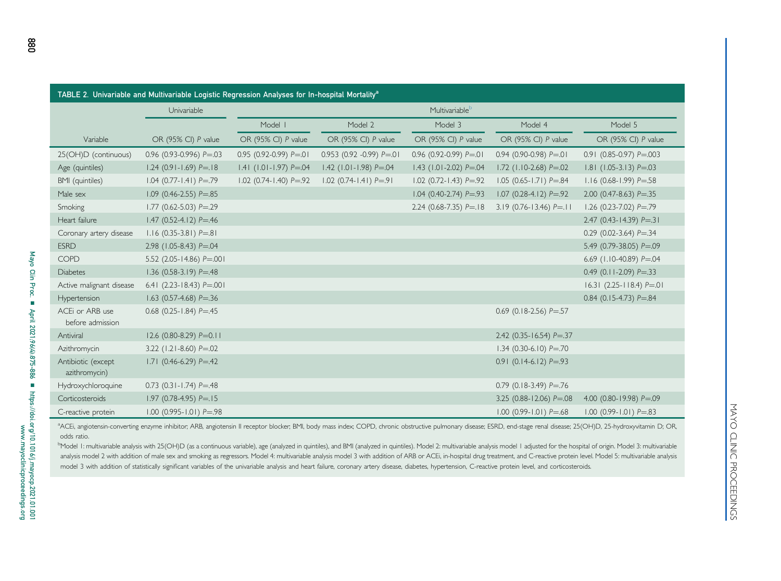<span id="page-5-0"></span>

| TABLE 2. Univariable and Multivariable Logistic Regression Analyses for In-hospital Mortality <sup>a</sup> |                               |                              |                               |                              |                                  |                                  |  |
|------------------------------------------------------------------------------------------------------------|-------------------------------|------------------------------|-------------------------------|------------------------------|----------------------------------|----------------------------------|--|
|                                                                                                            | Univariable                   | Multivariable <sup>b</sup>   |                               |                              |                                  |                                  |  |
|                                                                                                            |                               | Model I                      | Model 2                       | Model 3                      | Model 4                          | Model 5                          |  |
| Variable                                                                                                   | OR (95% CI) P value           | OR (95% CI) P value          | OR (95% CI) P value           | OR (95% CI) P value          | OR (95% CI) P value              | OR (95% CI) P value              |  |
| 25(OH)D (continuous)                                                                                       | 0.96 (0.93-0.996) $P = 03$    | $0.95$ (0.92-0.99) $P = 01$  | $0.953$ (0.92 -0.99) $P = 01$ | $0.96$ (0.92-0.99) $P = 01$  | $0.94$ (0.90-0.98) $P = 01$      | $0.91$ (0.85-0.97) $P = .003$    |  |
| Age (quintiles)                                                                                            | $1.24$ (0.91-1.69) $P = 18$   | $1.41$ (1.01-1.97) $P = .04$ | $1.42$ (1.01-1.98) $P = 0.04$ | $1.43$ (1.01-2.02) $P = .04$ | $1.72$ (1.10-2.68) $P = 02$      | $1.81$ (1.05-3.13) $P = .03$     |  |
| BMI (quintiles)                                                                                            | $1.04$ (0.77-1.41) $P = .79$  | $1.02$ (0.74-1.40) $P = .92$ | $1.02$ (0.74-1.41) $P = 91$   | $1.02$ (0.72-1.43) $P = 92$  | $1.05$ (0.65-1.71) $P = .84$     | $1.16$ (0.68-1.99) $P = 58$      |  |
| Male sex                                                                                                   | $1.09$ (0.46-2.55) $P = .85$  |                              |                               | $1.04$ (0.40-2.74) $P = .93$ | $1.07$ (0.28-4.12) $P = 92$      | 2.00 (0.47-8.63) $P = 0.35$      |  |
| Smoking                                                                                                    | $1.77$ (0.62-5.03) $P = 0.29$ |                              |                               | 2.24 (0.68-7.35) $P = 18$    | $3.19$ (0.76-13.46) P=.11        | 1.26 (0.23-7.02) $P = .79$       |  |
| Heart failure                                                                                              | $1.47$ (0.52-4.12) $P = 46$   |                              |                               |                              |                                  | $2.47$ (0.43-14.39) $P = 31$     |  |
| Coronary artery disease                                                                                    | $1.16$ (0.35-3.81) $P = .81$  |                              |                               |                              |                                  | 0.29 (0.02-3.64) $P = 34$        |  |
| <b>ESRD</b>                                                                                                | 2.98 (1.05-8.43) $P = 0.04$   |                              |                               |                              |                                  | 5.49 (0.79-38.05) P=.09          |  |
| <b>COPD</b>                                                                                                | 5.52 (2.05-14.86) $P = 0.001$ |                              |                               |                              |                                  | 6.69 (1.10-40.89) $P = 0.04$     |  |
| <b>Diabetes</b>                                                                                            | $1.36$ (0.58-3.19) $P = .48$  |                              |                               |                              |                                  | 0.49 (0.11-2.09) $P = 0.33$      |  |
| Active malignant disease                                                                                   | 6.41 (2.23-18.43) $P = 001$   |                              |                               |                              |                                  | $16.31$ (2.25-118.4) $P = 01$    |  |
| Hypertension                                                                                               | 1.63 (0.57-4.68) $P = 36$     |                              |                               |                              |                                  | 0.84 (0.15-4.73) $P = .84$       |  |
| ACEi or ARB use<br>before admission                                                                        | $0.68$ (0.25-1.84) $P = .45$  |                              |                               |                              | 0.69 (0.18-2.56) $P = 0.57$      |                                  |  |
| Antiviral                                                                                                  | $12.6$ (0.80-8.29) $P = 0.11$ |                              |                               |                              | 2.42 (0.35-16.54) $P = 37$       |                                  |  |
| Azithromycin                                                                                               | 3.22 $(1.21 - 8.60) P = 0.02$ |                              |                               |                              | $1.34$ (0.30-6.10) $P = 0.70$    |                                  |  |
| Antibiotic (except<br>azithromycin)                                                                        | $1.71$ (0.46-6.29) $P = 42$   |                              |                               |                              | $0.91$ (0.14-6.12) $P = .93$     |                                  |  |
| Hydroxychloroquine                                                                                         | $0.73$ (0.31-1.74) $P = .48$  |                              |                               |                              | $0.79$ (0.18-3.49) $P = .76$     |                                  |  |
| Corticosteroids                                                                                            | $1.97$ (0.78-4.95) P= 15      |                              |                               |                              | 3.25 (0.88-12.06) $P = .08$      | 4.00 $(0.80 - 19.98) P = 0.09$   |  |
| C-reactive protein                                                                                         | $1.00$ (0.995-1.01) $P = .98$ |                              |                               |                              | $1.00$ (0.99- $1.01$ ) $P = .68$ | $1.00$ (0.99- $1.01$ ) $P = .83$ |  |

880

<span id="page-5-2"></span><span id="page-5-1"></span><sup>a</sup>ACEi, angiotensin-converting enzyme inhibitor; ARB, angiotensin II receptor blocker; BMI, body mass index; COPD, chronic obstructive pulmonary disease; ESRD, end-stage renal disease; 25(OH)D, 25-hydroxyvitamin D; OR, odds ratio.

<sup>b</sup>Model I: multivariable analysis with 25(OH)D (as a continuous variable), age (analyzed in quintiles), and BMI (analyzed in quintiles). Model 2: multivariable analysis model I adjusted for the hospital of origin. Model 3 analysis model 2 with addition of male sex and smoking as regressors. Model 4: multivariable analysis model 3 with addition of ARB or ACEi, in-hospital drug treatment, and C-reactive protein level. Model 5: multivariable a model 3 with addition of statistically significant variables of the univariable analysis and heart failure, coronary artery disease, diabetes, hypertension, C-reactive protein level, and corticosteroids.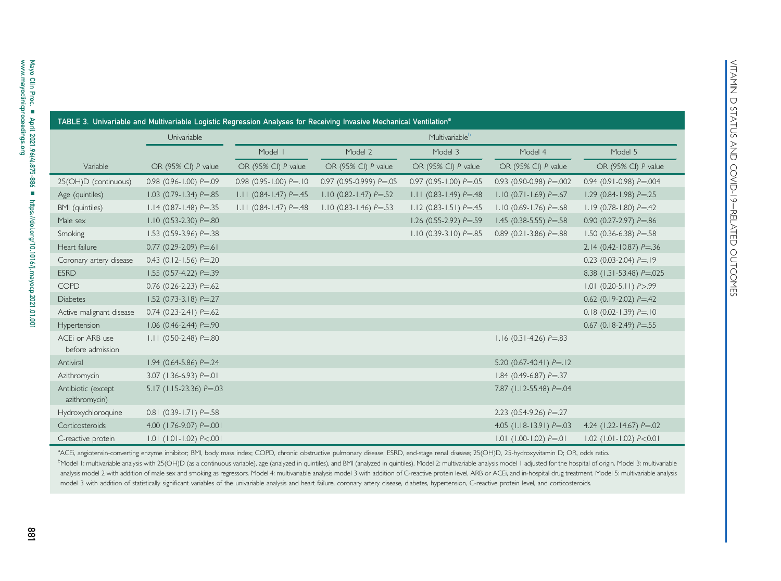<span id="page-6-0"></span>

| TABLE 3. Univariable and Multivariable Logistic Regression Analyses for Receiving Invasive Mechanical Ventilation <sup>a</sup> |                               |                              |                              |                              |                               |                                |  |
|--------------------------------------------------------------------------------------------------------------------------------|-------------------------------|------------------------------|------------------------------|------------------------------|-------------------------------|--------------------------------|--|
|                                                                                                                                | Univariable                   | Multivariableb               |                              |                              |                               |                                |  |
|                                                                                                                                |                               | Model I                      | Model 2                      | Model 3                      | Model 4                       | Model 5                        |  |
| Variable                                                                                                                       | OR (95% CI) P value           | OR (95% CI) P value          | OR (95% CI) P value          | OR (95% CI) P value          | OR (95% CI) P value           | OR (95% CI) P value            |  |
| 25(OH)D (continuous)                                                                                                           | $0.98$ (0.96-1.00) $P = 0.09$ | $0.98$ (0.95-1.00) $P = 10$  | 0.97 (0.95-0.999) $P = 0.05$ | $0.97$ (0.95-1.00) $P = .05$ | 0.93 (0.90-0.98) $P = 0.002$  | 0.94 (0.91-0.98) $P = 0.004$   |  |
| Age (quintiles)                                                                                                                | $1.03$ (0.79-1.34) $P = .85$  | $1.11$ (0.84-1.47) $P = 45$  | $1.10$ (0.82-1.47) $P = 52$  | $1.11$ (0.83-1.49) $P = 48$  | $1.10$ (0.71-1.69) $P = .67$  | $1.29$ (0.84-1.98) $P = 0.25$  |  |
| BMI (quintiles)                                                                                                                | $1.14$ (0.87-1.48) $P = 0.35$ | $1.11$ (0.84-1.47) $P = .48$ | $1.10$ (0.83-1.46) $P = .53$ | $1.12$ (0.83-1.51) $P = .45$ | $1.10$ (0.69-1.76) $P = .68$  | $1.19$ (0.78-1.80) $P = 42$    |  |
| Male sex                                                                                                                       | $1.10$ (0.53-2.30) $P = .80$  |                              |                              | 1.26 (0.55-2.92) $P = .59$   | 1.45 (0.38-5.55) $P = .58$    | 0.90 (0.27-2.97) $P = 0.86$    |  |
| Smoking                                                                                                                        | $1.53$ (0.59-3.96) $P = 38$   |                              |                              | $1.10$ (0.39-3.10) $P = .85$ | 0.89 (0.21-3.86) $P = .88$    | 1.50 (0.36-6.38) $P = 58$      |  |
| Heart failure                                                                                                                  | $0.77$ (0.29-2.09) $P = .61$  |                              |                              |                              |                               | $2.14$ (0.42-10.87) P=.36      |  |
| Coronary artery disease                                                                                                        | $0.43$ (0.12-1.56) $P = 0.20$ |                              |                              |                              |                               | $0.23$ (0.03-2.04) $P = 19$    |  |
| <b>ESRD</b>                                                                                                                    | 1.55 (0.57-4.22) $P = .39$    |                              |                              |                              |                               | 8.38 (1.31-53.48) P=.025       |  |
| COPD                                                                                                                           | $0.76$ (0.26-2.23) $P = .62$  |                              |                              |                              |                               | $1.01$ (0.20-5.11) $P > .99$   |  |
| <b>Diabetes</b>                                                                                                                | $1.52$ (0.73-3.18) $P = 27$   |                              |                              |                              |                               | $0.62$ (0.19-2.02) $P = .42$   |  |
| Active malignant disease                                                                                                       | $0.74$ (0.23-2.41) $P = .62$  |                              |                              |                              |                               | $0.18$ (0.02-1.39) $P = 10$    |  |
| Hypertension                                                                                                                   | $1.06$ (0.46-2.44) $P = 0.90$ |                              |                              |                              |                               | $0.67$ (0.18-2.49) $P = 55$    |  |
| ACEi or ARB use<br>before admission                                                                                            | $1.11$ (0.50-2.48) $P = .80$  |                              |                              |                              | $1.16$ (0.31-4.26) $P = .83$  |                                |  |
| Antiviral                                                                                                                      | $1.94$ (0.64-5.86) P=.24      |                              |                              |                              | 5.20 $(0.67-40.41) P=.12$     |                                |  |
| Azithromycin                                                                                                                   | 3.07 $(1.36 - 6.93)$ P=.01    |                              |                              |                              | $1.84$ (0.49-6.87) $P = 0.37$ |                                |  |
| Antibiotic (except<br>azithromycin)                                                                                            | 5.17 (1.15-23.36) $P = .03$   |                              |                              |                              | 7.87 (1.12-55.48) $P = 0.04$  |                                |  |
| Hydroxychloroquine                                                                                                             | $0.81$ (0.39-1.71) $P = .58$  |                              |                              |                              | 2.23 (0.54-9.26) $P = 0.27$   |                                |  |
| Corticosteroids                                                                                                                | 4.00 (1.76-9.07) P=.001       |                              |                              |                              | 4.05 $(1.18-13.91) P = 03$    | 4.24 $(1.22 - 14.67) P = 0.02$ |  |
| C-reactive protein                                                                                                             | $1.01$ (1.01-1.02) $P < .001$ |                              |                              |                              | $1.01$ (1.00-1.02) $P = .01$  | $1.02$ (1.01-1.02) $P<0.01$    |  |

VITAMIN D STATUS AND COVID-19

<u>VITAMIN D STATUS AND COVID-19-RELATED OUTCOMES</u>

<span id="page-6-2"></span><span id="page-6-1"></span>RELATED OUTCOMES

<sup>a</sup>ACEi, angiotensin-converting enzyme inhibitor; BMI, body mass index; COPD, chronic obstructive pulmonary disease; ESRD, end-stage renal disease; 25(OH)D, 25-hydroxyvitamin D; OR, odds ratio. <sup>b</sup>Model I: multivariable analysis with 25(OH)D (as a continuous variable), age (analyzed in quintiles), and BMI (analyzed in quintiles). Model 2: multivariable analysis model I adjusted for the hospital of origin. Model 3 analysis model 2 with addition of male sex and smoking as regressors. Model 4: multivariable analysis model 3 with addition of C-reactive protein level, ARB or ACEi, and in-hospital drug treatment. Model 5: multivariable a model 3 with addition of statistically significant variables of the univariable analysis and heart failure, coronary artery disease, diabetes, hypertension, C-reactive protein level, and corticosteroids.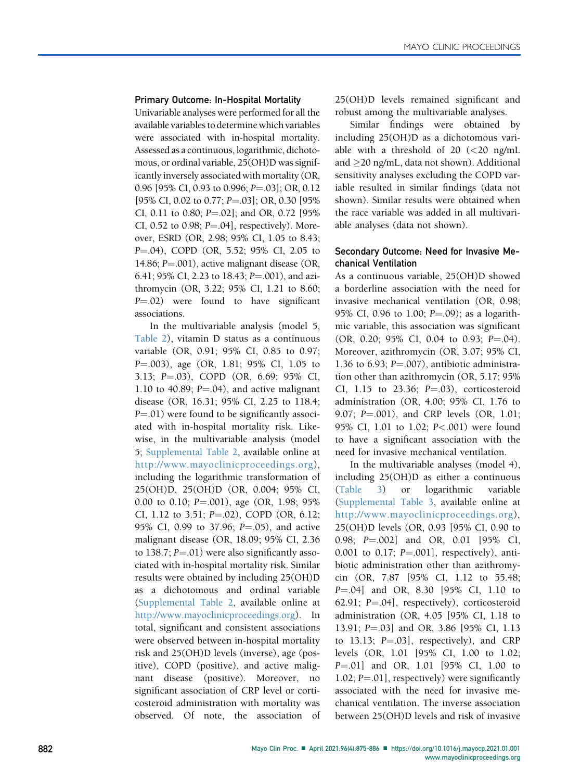#### Primary Outcome: In-Hospital Mortality

Univariable analyses were performed for all the available variables to determine which variables were associated with in-hospital mortality. Assessed as a continuous, logarithmic, dichotomous, or ordinal variable, 25(OH)D was significantly inversely associated with mortality (OR, 0.96 [95% CI, 0.93 to 0.996; P=.03]; OR, 0.12 [95% CI, 0.02 to 0.77; P=.03]; OR, 0.30 [95% CI, 0.11 to 0.80;  $P = .02$ ]; and OR, 0.72 [95% CI, 0.52 to 0.98;  $P = .04$ ], respectively). Moreover, ESRD (OR, 2.98; 95% CI, 1.05 to 8.43; P=.04), COPD (OR, 5.52; 95% CI, 2.05 to 14.86; P=.001), active malignant disease (OR, 6.41; 95% CI, 2.23 to 18.43;  $P = .001$ ), and azithromycin (OR, 3.22; 95% CI, 1.21 to 8.60;  $P = .02$ ) were found to have significant associations.

In the multivariable analysis (model 5, [Table 2](#page-5-0)), vitamin D status as a continuous variable (OR, 0.91; 95% CI, 0.85 to 0.97; P=.003), age (OR, 1.81; 95% CI, 1.05 to 3.13; P=.03), COPD (OR, 6.69; 95% CI, 1.10 to 40.89;  $P = .04$ ), and active malignant disease (OR, 16.31; 95% CI, 2.25 to 118.4;  $P = .01$ ) were found to be significantly associated with in-hospital mortality risk. Likewise, in the multivariable analysis (model 5; Supplemental Table 2, available online at [http://www.mayoclinicproceedings.org\)](http://www.mayoclinicproceedings.org), including the logarithmic transformation of 25(OH)D, 25(OH)D (OR, 0.004; 95% CI, 0.00 to 0.10;  $P = .001$ ), age (OR, 1.98; 95%) CI, 1.12 to 3.51;  $P = .02$ ), COPD (OR, 6.12; 95% CI, 0.99 to 37.96;  $P = .05$ ), and active malignant disease (OR, 18.09; 95% CI, 2.36 to 138.7;  $P = .01$ ) were also significantly associated with in-hospital mortality risk. Similar results were obtained by including 25(OH)D as a dichotomous and ordinal variable (Supplemental Table 2, available online at [http://www.mayoclinicproceedings.org\)](http://www.mayoclinicproceedings.org). In total, significant and consistent associations were observed between in-hospital mortality risk and 25(OH)D levels (inverse), age (positive), COPD (positive), and active malignant disease (positive). Moreover, no significant association of CRP level or corticosteroid administration with mortality was observed. Of note, the association of 25(OH)D levels remained significant and robust among the multivariable analyses.

Similar findings were obtained by including 25(OH)D as a dichotomous variable with a threshold of 20  $\ll$  20 ng/mL and  $\geq$ 20 ng/mL, data not shown). Additional sensitivity analyses excluding the COPD variable resulted in similar findings (data not shown). Similar results were obtained when the race variable was added in all multivariable analyses (data not shown).

## Secondary Outcome: Need for Invasive Mechanical Ventilation

As a continuous variable, 25(OH)D showed a borderline association with the need for invasive mechanical ventilation (OR, 0.98; 95% CI, 0.96 to 1.00;  $P = .09$ ); as a logarithmic variable, this association was significant  $(OR, 0.20; 95\% \text{ CI}, 0.04 \text{ to } 0.93; P = .04).$ Moreover, azithromycin (OR, 3.07; 95% CI, 1.36 to 6.93;  $P = .007$ ), antibiotic administration other than azithromycin (OR, 5.17; 95% CI, 1.15 to 23.36;  $P=.03$ ), corticosteroid administration (OR, 4.00; 95% CI, 1.76 to 9.07;  $P = .001$ ), and CRP levels (OR, 1.01; 95% CI, 1.01 to 1.02; P<.001) were found to have a significant association with the need for invasive mechanical ventilation.

In the multivariable analyses (model 4), including 25(OH)D as either a continuous [\(Table 3](#page-6-0)) or logarithmic variable (Supplemental Table 3, available online at <http://www.mayoclinicproceedings.org>), 25(OH)D levels (OR, 0.93 [95% CI, 0.90 to 0.98; P=.002] and OR, 0.01 [95% CI, 0.001 to 0.17;  $P = .001$ ], respectively), antibiotic administration other than azithromycin (OR, 7.87 [95% CI, 1.12 to 55.48; P=.04] and OR, 8.30 [95% CI, 1.10 to 62.91;  $P = .04$ ], respectively), corticosteroid administration (OR, 4.05 [95% CI, 1.18 to 13.91; P=.03] and OR, 3.86 [95% CI, 1.13 to  $13.13$ ;  $P=.03$ ], respectively), and CRP levels (OR, 1.01 [95% CI, 1.00 to 1.02; P=.01] and OR, 1.01 [95% CI, 1.00 to 1.02;  $P = .01$ ], respectively) were significantly associated with the need for invasive mechanical ventilation. The inverse association between 25(OH)D levels and risk of invasive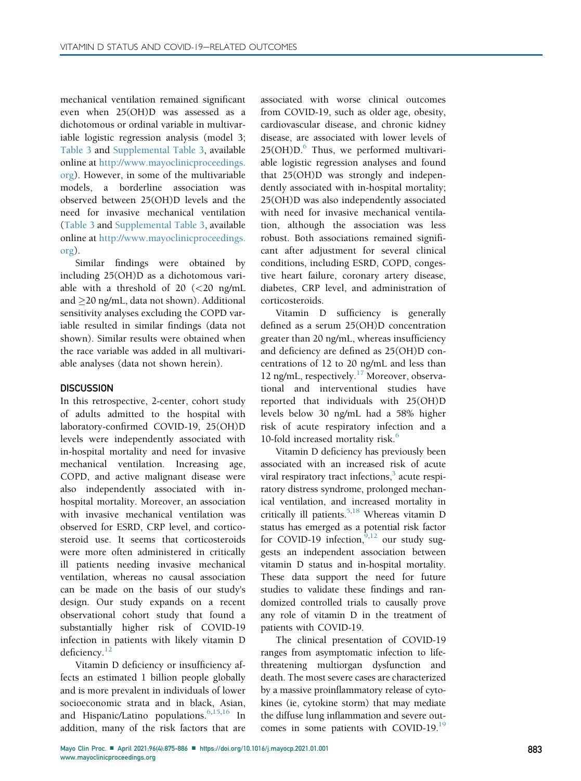mechanical ventilation remained significant even when 25(OH)D was assessed as a dichotomous or ordinal variable in multivariable logistic regression analysis (model 3; [Table 3](#page-6-0) and Supplemental Table 3, available online at [http://www.mayoclinicproceedings.](http://www.mayoclinicproceedings.org) [org](http://www.mayoclinicproceedings.org)). However, in some of the multivariable models, a borderline association was observed between 25(OH)D levels and the need for invasive mechanical ventilation ([Table 3](#page-6-0) and Supplemental Table 3, available online at [http://www.mayoclinicproceedings.](http://www.mayoclinicproceedings.org) [org](http://www.mayoclinicproceedings.org)).

Similar findings were obtained by including 25(OH)D as a dichotomous variable with a threshold of 20  $\ll$  20 ng/mL and  $\geq$ 20 ng/mL, data not shown). Additional sensitivity analyses excluding the COPD variable resulted in similar findings (data not shown). Similar results were obtained when the race variable was added in all multivariable analyses (data not shown herein).

## **DISCUSSION**

In this retrospective, 2-center, cohort study of adults admitted to the hospital with laboratory-confirmed COVID-19, 25(OH)D levels were independently associated with in-hospital mortality and need for invasive mechanical ventilation. Increasing age, COPD, and active malignant disease were also independently associated with inhospital mortality. Moreover, an association with invasive mechanical ventilation was observed for ESRD, CRP level, and corticosteroid use. It seems that corticosteroids were more often administered in critically ill patients needing invasive mechanical ventilation, whereas no causal association can be made on the basis of our study's design. Our study expands on a recent observational cohort study that found a substantially higher risk of COVID-19 infection in patients with likely vitamin D deficiency.<sup>[12](#page-11-7)</sup>

Vitamin D deficiency or insufficiency affects an estimated 1 billion people globally and is more prevalent in individuals of lower socioeconomic strata and in black, Asian, and Hispanic/Latino populations.<sup>[6,](#page-11-1)[15](#page-11-10)[,16](#page-11-11)</sup> In addition, many of the risk factors that are

associated with worse clinical outcomes from COVID-19, such as older age, obesity, cardiovascular disease, and chronic kidney disease, are associated with lower levels of  $25(OH)D<sup>6</sup>$  Thus, we performed multivariable logistic regression analyses and found that 25(OH)D was strongly and independently associated with in-hospital mortality; 25(OH)D was also independently associated with need for invasive mechanical ventilation, although the association was less robust. Both associations remained significant after adjustment for several clinical conditions, including ESRD, COPD, congestive heart failure, coronary artery disease, diabetes, CRP level, and administration of corticosteroids.

Vitamin D sufficiency is generally defined as a serum 25(OH)D concentration greater than 20 ng/mL, whereas insufficiency and deficiency are defined as 25(OH)D concentrations of 12 to 20 ng/mL and less than 12 ng/mL, respectively. $17$  Moreover, observational and interventional studies have reported that individuals with 25(OH)D levels below 30 ng/mL had a 58% higher risk of acute respiratory infection and a 10-fold increased mortality risk.<sup>[6](#page-11-1)</sup>

Vitamin D deficiency has previously been associated with an increased risk of acute viral respiratory tract infections, $\frac{3}{2}$  $\frac{3}{2}$  $\frac{3}{2}$  acute respiratory distress syndrome, prolonged mechanical ventilation, and increased mortality in critically ill patients.<sup>[5](#page-11-0)[,18](#page-11-13)</sup> Whereas vitamin D status has emerged as a potential risk factor for COVID-19 infection,  $9,12$  $9,12$  our study suggests an independent association between vitamin D status and in-hospital mortality. These data support the need for future studies to validate these findings and randomized controlled trials to causally prove any role of vitamin D in the treatment of patients with COVID-19.

The clinical presentation of COVID-19 ranges from asymptomatic infection to lifethreatening multiorgan dysfunction and death. The most severe cases are characterized by a massive proinflammatory release of cytokines (ie, cytokine storm) that may mediate the diffuse lung inflammation and severe out-comes in some patients with COVID-[19](#page-11-14).<sup>19</sup>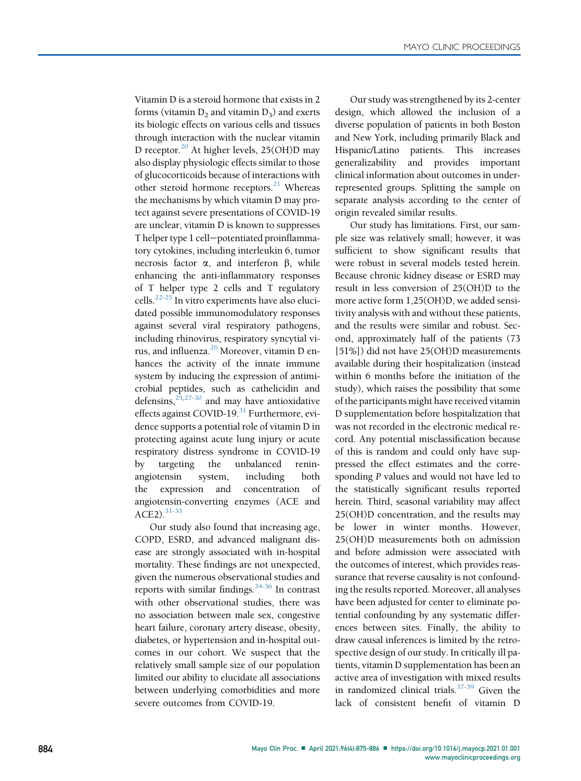Vitamin D is a steroid hormone that exists in 2 forms (vitamin  $D_2$  and vitamin  $D_3$ ) and exerts its biologic effects on various cells and tissues through interaction with the nuclear vitamin D receptor.<sup>20</sup> At higher levels, 25(OH)D may also display physiologic effects similar to those of glucocorticoids because of interactions with other steroid hormone receptors.<sup>[21](#page-11-16)</sup> Whereas the mechanisms by which vitamin D may protect against severe presentations of COVID-19 are unclear, vitamin D is known to suppresses T helper type 1 cell-potentiated proinflammatory cytokines, including interleukin 6, tumor necrosis factor  $\alpha$ , and interferon  $\beta$ , while enhancing the anti-inflammatory responses of T helper type 2 cells and T regulatory cells. $^{22-25}$  $^{22-25}$  $^{22-25}$  In vitro experiments have also elucidated possible immunomodulatory responses against several viral respiratory pathogens, including rhinovirus, respiratory syncytial virus, and influenza.<sup>26</sup> Moreover, vitamin D enhances the activity of the innate immune system by inducing the expression of antimicrobial peptides, such as cathelicidin and defensins,  $2\frac{5,27-30}{ }$  $2\frac{5,27-30}{ }$  $2\frac{5,27-30}{ }$  and may have antioxidative effects against COVID-19.<sup>31</sup> Furthermore, evidence supports a potential role of vitamin D in protecting against acute lung injury or acute respiratory distress syndrome in COVID-19 by targeting the unbalanced reninangiotensin system, including both the expression and concentration of angiotensin-converting enzymes (ACE and ACE2).<sup>[31-33](#page-11-21)</sup>

Our study also found that increasing age, COPD, ESRD, and advanced malignant disease are strongly associated with in-hospital mortality. These findings are not unexpected, given the numerous observational studies and reports with similar findings.[34-36](#page-11-22) In contrast with other observational studies, there was no association between male sex, congestive heart failure, coronary artery disease, obesity, diabetes, or hypertension and in-hospital outcomes in our cohort. We suspect that the relatively small sample size of our population limited our ability to elucidate all associations between underlying comorbidities and more severe outcomes from COVID-19.

Our study was strengthened by its 2-center design, which allowed the inclusion of a diverse population of patients in both Boston and New York, including primarily Black and Hispanic/Latino patients. This increases generalizability and provides important clinical information about outcomes in underrepresented groups. Splitting the sample on separate analysis according to the center of origin revealed similar results.

Our study has limitations. First, our sample size was relatively small; however, it was sufficient to show significant results that were robust in several models tested herein. Because chronic kidney disease or ESRD may result in less conversion of 25(OH)D to the more active form 1,25(OH)D, we added sensitivity analysis with and without these patients, and the results were similar and robust. Second, approximately half of the patients (73 [51%]) did not have 25(OH)D measurements available during their hospitalization (instead within 6 months before the initiation of the study), which raises the possibility that some of the participants might have received vitamin D supplementation before hospitalization that was not recorded in the electronic medical record. Any potential misclassification because of this is random and could only have suppressed the effect estimates and the corresponding P values and would not have led to the statistically significant results reported herein. Third, seasonal variability may affect 25(OH)D concentration, and the results may be lower in winter months. However, 25(OH)D measurements both on admission and before admission were associated with the outcomes of interest, which provides reassurance that reverse causality is not confounding the results reported. Moreover, all analyses have been adjusted for center to eliminate potential confounding by any systematic differences between sites. Finally, the ability to draw causal inferences is limited by the retrospective design of our study. In critically ill patients, vitamin D supplementation has been an active area of investigation with mixed results in randomized clinical trials. $37-39$  Given the lack of consistent benefit of vitamin D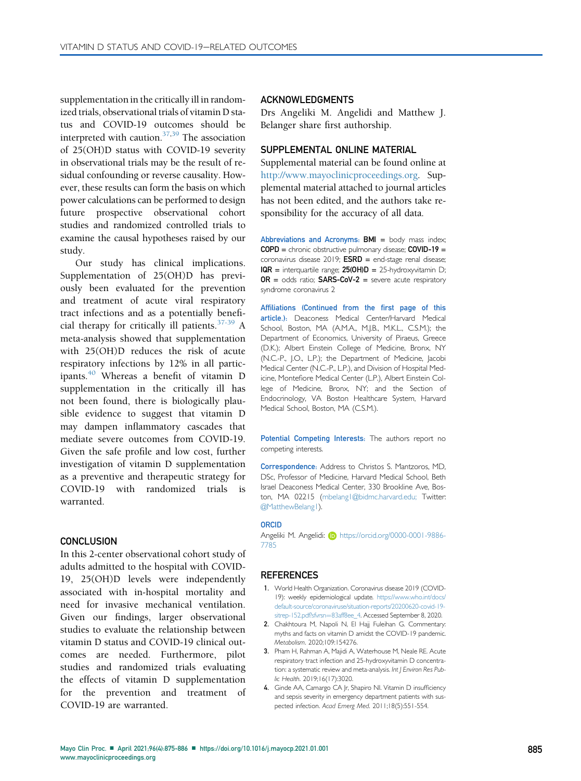supplementation in the critically ill in randomized trials, observational trials of vitamin D status and COVID-19 outcomes should be interpreted with caution. $37,39$  $37,39$  The association of 25(OH)D status with COVID-19 severity in observational trials may be the result of residual confounding or reverse causality. However, these results can form the basis on which power calculations can be performed to design future prospective observational cohort studies and randomized controlled trials to examine the causal hypotheses raised by our study.

Our study has clinical implications. Supplementation of 25(OH)D has previously been evaluated for the prevention and treatment of acute viral respiratory tract infections and as a potentially beneficial therapy for critically ill patients.  $37-39$  A meta-analysis showed that supplementation with 25(OH)D reduces the risk of acute respiratory infections by 12% in all participants. $40$  Whereas a benefit of vitamin D supplementation in the critically ill has not been found, there is biologically plausible evidence to suggest that vitamin D may dampen inflammatory cascades that mediate severe outcomes from COVID-19. Given the safe profile and low cost, further investigation of vitamin D supplementation as a preventive and therapeutic strategy for COVID-19 with randomized trials is warranted.

#### **CONCLUSION**

In this 2-center observational cohort study of adults admitted to the hospital with COVID-19, 25(OH)D levels were independently associated with in-hospital mortality and need for invasive mechanical ventilation. Given our findings, larger observational studies to evaluate the relationship between vitamin D status and COVID-19 clinical outcomes are needed. Furthermore, pilot studies and randomized trials evaluating the effects of vitamin D supplementation for the prevention and treatment of COVID-19 are warranted.

## ACKNOWLEDGMENTS

Drs Angeliki M. Angelidi and Matthew J. Belanger share first authorship.

## SUPPLEMENTAL ONLINE MATERIAL

Supplemental material can be found online at <http://www.mayoclinicproceedings.org>. Supplemental material attached to journal articles has not been edited, and the authors take responsibility for the accuracy of all data.

Abbreviations and Acronyms:  $BMI =$  body mass index; COPD = chronic obstructive pulmonary disease; COVID-19 = coronavirus disease 2019;  $ESRD = end-stage$  renal disease;  $IQR =$  interquartile range;  $25(OH)D = 25$ -hydroxyvitamin D;  $OR = odds ratio; SARS-CoV-2 = severe acute respiratory$ syndrome coronavirus 2

Affiliations (Continued from the first page of this article.): Deaconess Medical Center/Harvard Medical School, Boston, MA (A.M.A., M.J.B., M.K.L., C.S.M.); the Department of Economics, University of Piraeus, Greece (D.K.); Albert Einstein College of Medicine, Bronx, NY (N.C.-P., J.O., L.P.); the Department of Medicine, Jacobi Medical Center (N.C.-P., L.P.), and Division of Hospital Medicine, Montefiore Medical Center (L.P.), Albert Einstein College of Medicine, Bronx, NY; and the Section of Endocrinology, VA Boston Healthcare System, Harvard Medical School, Boston, MA (C.S.M.).

Potential Competing Interests: The authors report no competing interests.

Correspondence: Address to Christos S. Mantzoros, MD, DSc, Professor of Medicine, Harvard Medical School, Beth Israel Deaconess Medical Center, 330 Brookline Ave, Boston, MA 02215 ([mbelang1@bidmc.harvard.edu](mailto:mbelang1@bidmc.harvard.edu); Twitter: @MatthewBelang1).

#### **ORCID**

Angeliki M. Angelidi: **b** [https://orcid.org/0000-0001-9886-](https://orcid.org/0000-0001-9886-7785) [7785](https://orcid.org/0000-0001-9886-7785)

#### **REFERENCES**

- <span id="page-10-0"></span>1. World Health Organization. Coronavirus disease 2019 (COVID-19): weekly epidemiological update. [https://www.who.int/docs/](https://www.who.int/docs/default-source/coronaviruse/situation-reports/20200620-covid-19-sitrep-152.pdf?sfvrsn=83aff8ee_4) [default-source/coronaviruse/situation-reports/20200620-covid-19](https://www.who.int/docs/default-source/coronaviruse/situation-reports/20200620-covid-19-sitrep-152.pdf?sfvrsn=83aff8ee_4) [sitrep-152.pdf?sfvrsn](https://www.who.int/docs/default-source/coronaviruse/situation-reports/20200620-covid-19-sitrep-152.pdf?sfvrsn=83aff8ee_4)=[83aff8ee\\_4.](https://www.who.int/docs/default-source/coronaviruse/situation-reports/20200620-covid-19-sitrep-152.pdf?sfvrsn=83aff8ee_4) Accessed September 8, 2020.
- <span id="page-10-1"></span>2. Chakhtoura M, Napoli N, El Hajj Fuleihan G. Commentary: myths and facts on vitamin D amidst the COVID-19 pandemic. Metabolism. 2020;109:154276.
- <span id="page-10-2"></span>3. Pham H, Rahman A, Majidi A, Waterhouse M, Neale RE. Acute respiratory tract infection and 25-hydroxyvitamin D concentration: a systematic review and meta-analysis. Int J Environ Res Public Health. 2019;16(17):3020.
- <span id="page-10-3"></span>4. Ginde AA, Camargo CA Jr, Shapiro NI. Vitamin D insufficiency and sepsis severity in emergency department patients with suspected infection. Acad Emerg Med. 2011;18(5):551-554.